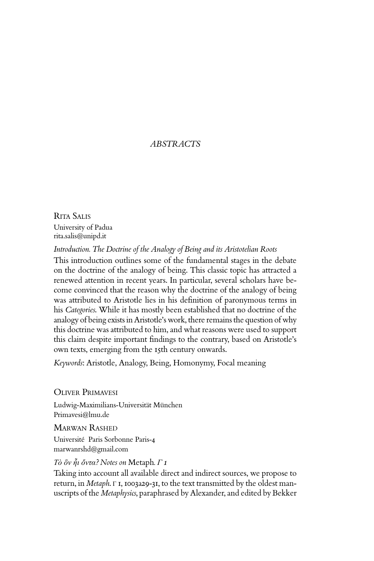## *ABSTRACTS*

Rita Salis University of Padua rita.salis@unipd.it

*Introduction. The Doctrine of the Analogy of Being and its Aristotelian Roots*

This introduction outlines some of the fundamental stages in the debate on the doctrine of the analogy of being. This classic topic has attracted a renewed attention in recent years. In particular, several scholars have become convinced that the reason why the doctrine of the analogy of being was attributed to Aristotle lies in his definition of paronymous terms in his *Categories*. While it has mostly been established that no doctrine of the analogy of being exists in Aristotle's work, there remains the question of why this doctrine was attributed to him, and what reasons were used to support this claim despite important findings to the contrary, based on Aristotle's own texts, emerging from the 15th century onwards.

*Keywords*: Aristotle, Analogy, Being, Homonymy, Focal meaning

Oliver Primavesi

Ludwig-Maximilians-Universität München Primavesi@lmu.de

Marwan Rashed Université Paris Sorbonne Paris-4 marwanrshd@gmail.com

*Τὸ ὂν ἧι ὄντα? Notes on* Metaph*. Γ 1* 

Taking into account all available direct and indirect sources, we propose to return, in *Metaph*. Γ 1, 1003a29-31, to the text transmitted by the oldest manuscripts of the *Metaphysics*, paraphrased by Alexander, and edited by Bekker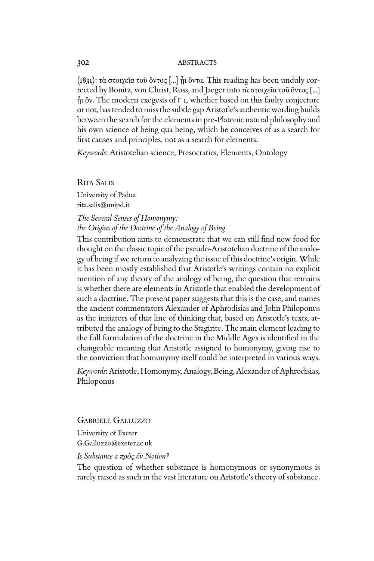#### 302 ABSTRACTS

(1831): τὰ στοιχεῖα τοῦ ὄντος [...] ᾗι ὄντα. This reading has been unduly corrected by Bonitz, von Christ, Ross, and Jaeger into τὰ στοιχεῖα τοῦ ὄντος [...]  $\tilde{n}$ ι ὄν. The modern exegesis of Γ I, whether based on this faulty conjecture or not, has tended to miss the subtle gap Aristotle's authentic wording builds between the search for the elements in pre-Platonic natural philosophy and his own science of being qua being, which he conceives of as a search for first causes and principles, not as a search for elements.

*Keywords*: Aristotelian science, Presocratics, Elements, Ontology

Rita Salis University of Padua rita.salis@unipd.it

## *The Several Senses of Homonymy: the Origins of the Doctrine of the Analogy of Being*

This contribution aims to demonstrate that we can still find new food for thought on the classic topic of the pseudo-Aristotelian doctrine of the analogy of being if we return to analyzing the issue of this doctrine's origin. While it has been mostly established that Aristotle's writings contain no explicit mention of any theory of the analogy of being, the question that remains is whether there are elements in Aristotle that enabled the development of such a doctrine. The present paper suggests that this is the case, and names the ancient commentators Alexander of Aphrodisias and John Philoponus as the initiators of that line of thinking that, based on Aristotle's texts, attributed the analogy of being to the Stagirite. The main element leading to the full formulation of the doctrine in the Middle Ages is identified in the changeable meaning that Aristotle assigned to homonymy, giving rise to the conviction that homonymy itself could be interpreted in various ways.

*Keywords*: Aristotle, Homonymy, Analogy, Being, Alexander of Aphrodisias, Philoponus

Gabriele Galluzzo

University of Exeter G.Galluzzo@exeter.ac.uk

## *Is Substance a πρὸς ἕν Notion?*

The question of whether substance is homonymous or synonymous is rarely raised as such in the vast literature on Aristotle's theory of substance.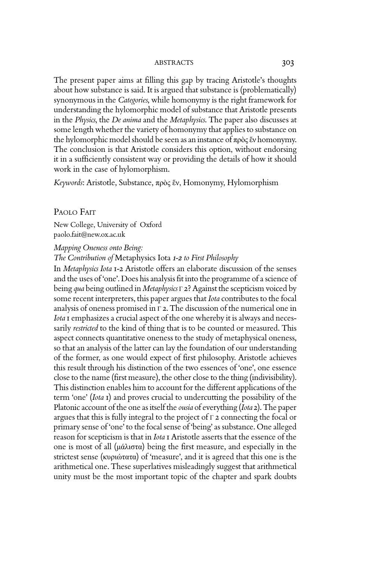The present paper aims at filling this gap by tracing Aristotle's thoughts about how substance is said. It is argued that substance is (problematically) synonymous in the *Categories*, while homonymy is the right framework for understanding the hylomorphic model of substance that Aristotle presents in the *Physics*, the *De anima* and the *Metaphysics*. The paper also discusses at some length whether the variety of homonymy that applies to substance on the hylomorphic model should be seen as an instance of πρὸς ἕν homonymy. The conclusion is that Aristotle considers this option, without endorsing it in a sufficiently consistent way or providing the details of how it should work in the case of hylomorphism.

*Keywords*: Aristotle, Substance, πρὸς ἕν, Homonymy, Hylomorphism

## PAOLO FAIT

New College, University of Oxford paolo.fait@new.ox.ac.uk

*Mapping Oneness onto Being:* 

*The Contribution of* Metaphysics Iota *1-2 to First Philosophy*

In *Metaphysics Iota* 1-2 Aristotle offers an elaborate discussion of the senses and the uses of 'one'. Does his analysis fit into the programme of a science of being *qua* being outlined in *Metaphysics* Γ 2? Against the scepticism voiced by some recent interpreters, this paper argues that *Iota* contributes to the focal analysis of oneness promised in Γ 2. The discussion of the numerical one in *Iota* 1 emphasizes a crucial aspect of the one whereby it is always and necessarily *restricted* to the kind of thing that is to be counted or measured. This aspect connects quantitative oneness to the study of metaphysical oneness, so that an analysis of the latter can lay the foundation of our understanding of the former, as one would expect of first philosophy. Aristotle achieves this result through his distinction of the two essences of 'one', one essence close to the name (first measure), the other close to the thing (indivisibility). This distinction enables him to account for the different applications of the term 'one' (*Iota* 1) and proves crucial to undercutting the possibility of the Platonic account of the one as itself the *ousia* of everything (*Iota* 2). The paper argues that this is fully integral to the project of Γ 2 connecting the focal or primary sense of 'one' to the focal sense of 'being' as substance. One alleged reason for scepticism is that in *Iota* 1 Aristotle asserts that the essence of the one is most of all (μάλιστα) being the first measure, and especially in the strictest sense (κυριώτατα) of 'measure', and it is agreed that this one is the arithmetical one. These superlatives misleadingly suggest that arithmetical unity must be the most important topic of the chapter and spark doubts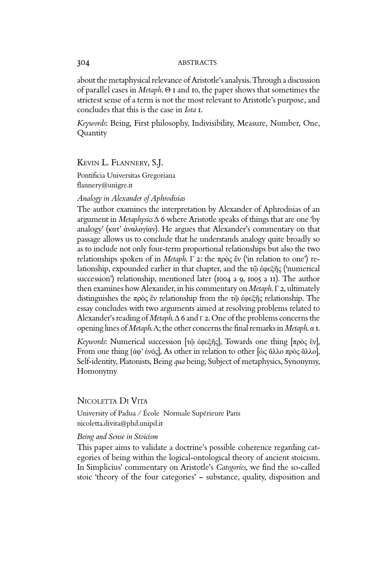about the metaphysical relevance of Aristotle's analysis. Through a discussion of parallel cases in *Metaph*. Θ 1 and 10, the paper shows that sometimes the strictest sense of a term is not the most relevant to Aristotle's purpose, and concludes that this is the case in *Iota* 1.

*Keywords*: Being, First philosophy, Indivisibility, Measure, Number, One, Quantity

Kevin L. Flannery, S.J.

Pontificia Universitas Gregoriana flannery@unigre.it

## *Analogy in Alexander of Aphrodisias*

The author examines the interpretation by Alexander of Aphrodisias of an argument in *Metaphysics* Δ 6 where Aristotle speaks of things that are one 'by analogy' (κατ' ἀναλογίαν). He argues that Alexander's commentary on that passage allows us to conclude that he understands analogy quite broadly so as to include not only four-term proportional relationships but also the two relationships spoken of in *Metaph*. Γ 2: the πρὸς ἕν ('in relation to one') relationship, expounded earlier in that chapter, and the τῷ ἐφεξῆς ('numerical succession') relationship, mentioned later (1004 a 9, 1005 a 11). The author then examines how Alexander, in his commentary on *Metaph*. Γ 2, ultimately distinguishes the πρὸς ἕν relationship from the τῷ ἐφεξῆς relationship. The essay concludes with two arguments aimed at resolving problems related to Alexander's reading of *Metaph*. Δ 6 and Γ 2. One of the problems concerns the opening lines of *Metaph*. Λ; the other concerns the final remarks in *Metaph*. α 1.

*Keywords*: Numerical succession [τῷ ἐφεξῆς], Towards one thing [πρὸς ἓν], From one thing [ἀφ' ἑνός], As other in relation to other [ὡς ἄλλο πρὸς ἄλλο], Self-identity, Platonists, Being *qua* being, Subject of metaphysics, Synonymy, Homonymy

## NICOLETTA DI VITA

University of Padua / École Normale Supérieure Paris nicoletta.divita@phd.unipd.it

#### *Being and Sense in Stoicism*

This paper aims to validate a doctrine's possible coherence regarding categories of being within the logical-ontological theory of ancient stoicism. In Simplicius' commentary on Aristotle's *Categories*, we find the so-called stoic 'theory of the four categories' – substance, quality, disposition and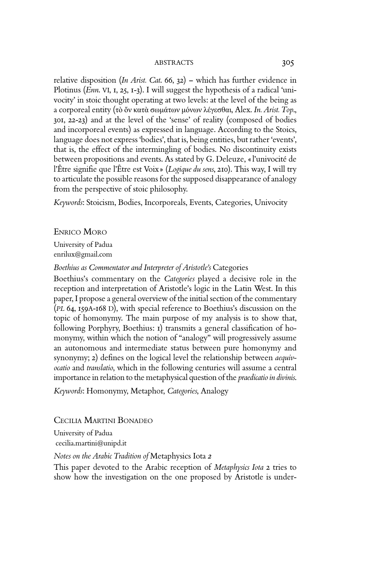relative disposition (*In Arist. Cat*. 66, 32) – which has further evidence in Plotinus (*Enn*. VI, 1, 25, 1-3). I will suggest the hypothesis of a radical 'univocity' in stoic thought operating at two levels: at the level of the being as a corporeal entity (τὸ ὄν κατὰ σωμάτων μόνων λέγεσθαι, Alex. *In. Arist. Top*., 301, 22-23) and at the level of the 'sense' of reality (composed of bodies and incorporeal events) as expressed in language. According to the Stoics, language does not express 'bodies', that is, being entities, but rather 'events', that is, the effect of the intermingling of bodies. No discontinuity exists between propositions and events. As stated by G. Deleuze, « l'univocité de l'Être signifie que l'Être est Voix» (*Logique du sens*, 210). This way, I will try to articulate the possible reasons for the supposed disappearance of analogy from the perspective of stoic philosophy.

*Keywords*: Stoicism, Bodies, Incorporeals, Events, Categories, Univocity

Enrico Moro

University of Padua enrilux@gmail.com

*Boethius as Commentator and Interpreter of Aristotle's* Categories

Boethius's commentary on the *Categories* played a decisive role in the reception and interpretation of Aristotle's logic in the Latin West. In this paper, I propose a general overview of the initial section of the commentary (*PL* 64, 159A-168 D), with special reference to Boethius's discussion on the topic of homonymy. The main purpose of my analysis is to show that, following Porphyry, Boethius: 1) transmits a general classification of homonymy, within which the notion of "analogy" will progressively assume an autonomous and intermediate status between pure homonymy and synonymy; 2) defines on the logical level the relationship between *aequivocatio* and *translatio*, which in the following centuries will assume a central importance in relation to the metaphysical question of the *praedicatio in divinis*.

*Keywords*: Homonymy, Metaphor, *Categories*, Analogy

Cecilia Martini Bonadeo

University of Padua cecilia.martini@unipd.it

*Notes on the Arabic Tradition of* Metaphysics Iota *2*

This paper devoted to the Arabic reception of *Metaphysics Iota* 2 tries to show how the investigation on the one proposed by Aristotle is under-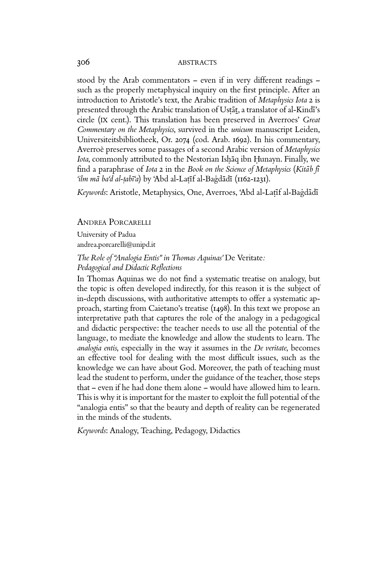#### 306 ABSTRACTS

stood by the Arab commentators – even if in very different readings – such as the properly metaphysical inquiry on the first principle. After an introduction to Aristotle's text, the Arabic tradition of *Metaphysics Iota* 2 is presented through the Arabic translation of Ustat, a translator of al-Kindi's circle (IX cent.). This translation has been preserved in Averroes' *Great Commentary on the Metaphysics*, survived in the *unicum* manuscript Leiden, Universiteitsbibliotheek, Or. 2074 (cod. Arab. 1692). In his commentary, Averroè preserves some passages of a second Arabic version of *Metaphysics*  Iota, commonly attributed to the Nestorian Ishaq ibn Hunayn. Finally, we find a paraphrase of *Iota* 2 in the *Book on the Science of Metaphysics* (Kitab fi *'ilm mā-ba'd al-ṭabī'a*) by 'Abd al-Laṭīf al-Baġdādī (1162-1231).

Keywords: Aristotle, Metaphysics, One, Averroes, 'Abd al-Laṭīf al-Baġdādī

## Andrea Porcarelli

University of Padua andrea.porcarelli@unipd.it

## *The Role of "Analogia Entis" in Thomas Aquinas'* De Veritate*: Pedagogical and Didactic Reflections*

In Thomas Aquinas we do not find a systematic treatise on analogy, but the topic is often developed indirectly, for this reason it is the subject of in-depth discussions, with authoritative attempts to offer a systematic approach, starting from Caietano's treatise (1498). In this text we propose an interpretative path that captures the role of the analogy in a pedagogical and didactic perspective: the teacher needs to use all the potential of the language, to mediate the knowledge and allow the students to learn. The *analogia entis*, especially in the way it assumes in the *De veritate*, becomes an effective tool for dealing with the most difficult issues, such as the knowledge we can have about God. Moreover, the path of teaching must lead the student to perform, under the guidance of the teacher, those steps that – even if he had done them alone – would have allowed him to learn. This is why it is important for the master to exploit the full potential of the "analogia entis" so that the beauty and depth of reality can be regenerated in the minds of the students.

*Keywords*: Analogy, Teaching, Pedagogy, Didactics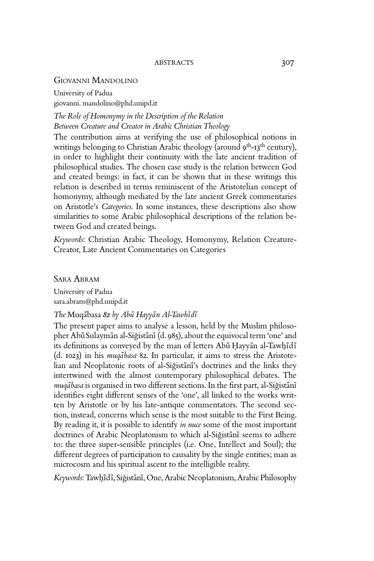## Giovanni Mandolino

University of Padua giovanni. mandolino@phd.unipd.it

*The Role of Homonymy in the Description of the Relation Between Creature and Creator in Arabic Christian Theology* 

The contribution aims at verifying the use of philosophical notions in writings belonging to Christian Arabic theology (around  $9^{th}$ -13<sup>th</sup> century), in order to highlight their continuity with the late ancient tradition of philosophical studies. The chosen case study is the relation between God and created beings: in fact, it can be shown that in these writings this relation is described in terms reminiscent of the Aristotelian concept of homonymy, although mediated by the late ancient Greek commentaries on Aristotle's *Categories*. In some instances, these descriptions also show similarities to some Arabic philosophical descriptions of the relation between God and created beings.

*Keywords*: Christian Arabic Theology, Homonymy, Relation Creature-Creator, Late Ancient Commentaries on Categories

Sara Abram

University of Padua sara.abram@phd.unipd.it

# $The Muq\bar{a}$ basa  $82$  by  $Ab\bar{u}$  Hayyan Al-Tawhidi

The present paper aims to analyse a lesson, held by the Muslim philosopher Abū Sulaymān al-Siğistānī (d. 985), about the equivocal term 'one' and its definitions as conveyed by the man of letters Abū Ḥayyān al-Tawḥīdī (d. 1023) in his *muqabasa* 82. In particular, it aims to stress the Aristotelian and Neoplatonic roots of al-Siğistāni's doctrines and the links they intertwined with the almost contemporary philosophical debates. The muqābasa is organised in two different sections. In the first part, al-Siğistānī identifies eight different senses of the 'one', all linked to the works written by Aristotle or by his late-antique commentators. The second section, instead, concerns which sense is the most suitable to the First Being. By reading it, it is possible to identify *in nuce* some of the most important doctrines of Arabic Neoplatonism to which al-Siğistānī seems to adhere to: the three super-sensible principles (i.e. One, Intellect and Soul); the different degrees of participation to causality by the single entities; man as microcosm and his spiritual ascent to the intelligible reality.

Keywords: Tawhīdī, Siğistānī, One, Arabic Neoplatonism, Arabic Philosophy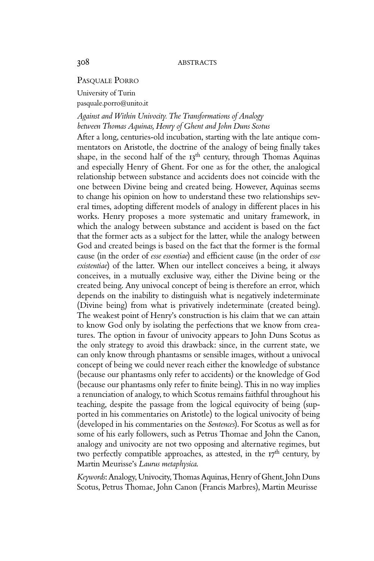## PASQUALE PORRO

University of Turin pasquale.porro@unito.it

## *Against and Within Univocity. The Transformations of Analogy between Thomas Aquinas, Henry of Ghent and John Duns Scotus*

After a long, centuries-old incubation, starting with the late antique commentators on Aristotle, the doctrine of the analogy of being finally takes shape, in the second half of the 13<sup>th</sup> century, through Thomas Aquinas and especially Henry of Ghent. For one as for the other, the analogical relationship between substance and accidents does not coincide with the one between Divine being and created being. However, Aquinas seems to change his opinion on how to understand these two relationships several times, adopting different models of analogy in different places in his works. Henry proposes a more systematic and unitary framework, in which the analogy between substance and accident is based on the fact that the former acts as a subject for the latter, while the analogy between God and created beings is based on the fact that the former is the formal cause (in the order of *esse essentiae*) and efficient cause (in the order of *esse existentiae*) of the latter. When our intellect conceives a being, it always conceives, in a mutually exclusive way, either the Divine being or the created being. Any univocal concept of being is therefore an error, which depends on the inability to distinguish what is negatively indeterminate (Divine being) from what is privatively indeterminate (created being). The weakest point of Henry's construction is his claim that we can attain to know God only by isolating the perfections that we know from creatures. The option in favour of univocity appears to John Duns Scotus as the only strategy to avoid this drawback: since, in the current state, we can only know through phantasms or sensible images, without a univocal concept of being we could never reach either the knowledge of substance (because our phantasms only refer to accidents) or the knowledge of God (because our phantasms only refer to finite being). This in no way implies a renunciation of analogy, to which Scotus remains faithful throughout his teaching, despite the passage from the logical equivocity of being (supported in his commentaries on Aristotle) to the logical univocity of being (developed in his commentaries on the *Sentences*). For Scotus as well as for some of his early followers, such as Petrus Thomae and John the Canon, analogy and univocity are not two opposing and alternative regimes, but two perfectly compatible approaches, as attested, in the  $17<sup>th</sup>$  century, by Martin Meurisse's *Laurus metaphysica*.

*Keywords*: Analogy, Univocity, Thomas Aquinas, Henry of Ghent, John Duns Scotus, Petrus Thomae, John Canon (Francis Marbres), Martin Meurisse